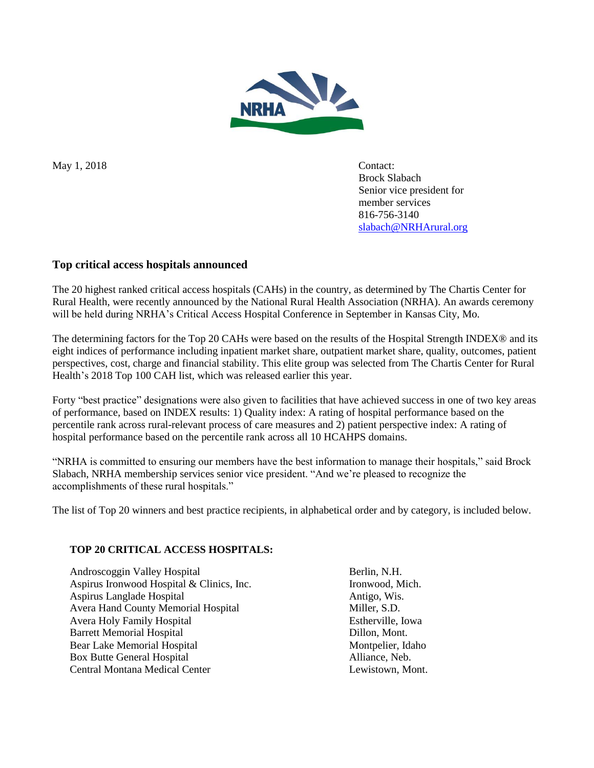

May 1, 2018 Contact:

Brock Slabach Senior vice president for member services 816-756-3140 [slabach@NRHArural.org](mailto:slabach@NRHArural.org)

# **Top critical access hospitals announced**

The 20 highest ranked critical access hospitals (CAHs) in the country, as determined by The Chartis Center for Rural Health, were recently announced by the National Rural Health Association (NRHA). An awards ceremony will be held during NRHA's Critical Access Hospital Conference in September in Kansas City, Mo.

The determining factors for the Top 20 CAHs were based on the results of the Hospital Strength INDEX® and its eight indices of performance including inpatient market share, outpatient market share, quality, outcomes, patient perspectives, cost, charge and financial stability. This elite group was selected from The Chartis Center for Rural Health's 2018 Top 100 CAH list, which was released earlier this year.

Forty "best practice" designations were also given to facilities that have achieved success in one of two key areas of performance, based on INDEX results: 1) Quality index: A rating of hospital performance based on the percentile rank across rural-relevant process of care measures and 2) patient perspective index: A rating of hospital performance based on the percentile rank across all 10 HCAHPS domains.

"NRHA is committed to ensuring our members have the best information to manage their hospitals," said Brock Slabach, NRHA membership services senior vice president. "And we're pleased to recognize the accomplishments of these rural hospitals."

The list of Top 20 winners and best practice recipients, in alphabetical order and by category, is included below.

### **TOP 20 CRITICAL ACCESS HOSPITALS:**

Androscoggin Valley Hospital Berlin, N.H. Aspirus Ironwood Hospital & Clinics, Inc. Ironwood, Mich. Aspirus Langlade Hospital Antigo, Wis. Avera Hand County Memorial Hospital Miller, S.D. Avera Holy Family Hospital Estherville, Iowa Barrett Memorial Hospital **Dillon, Mont.** Bear Lake Memorial Hospital Montpelier, Idaho Box Butte General Hospital **Alliance**, Neb. Central Montana Medical Center Lewistown, Mont.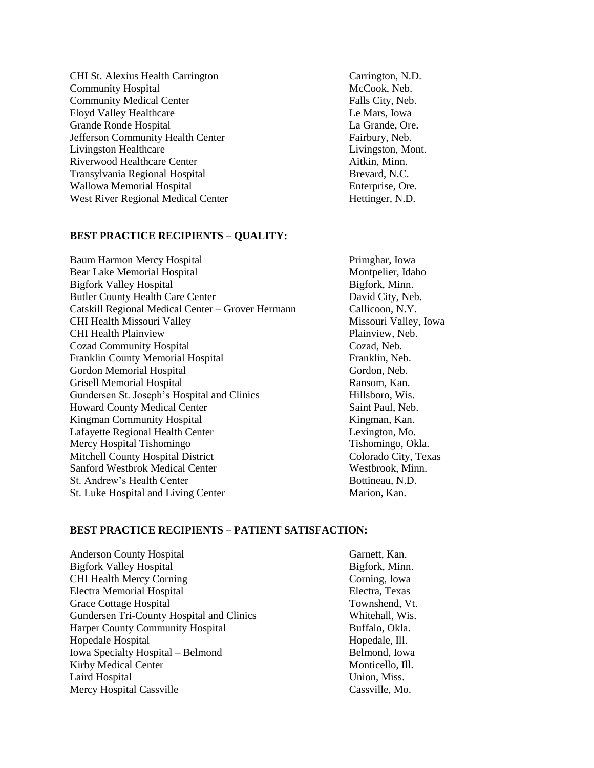CHI St. Alexius Health Carrington Carrington, N.D. Community Hospital and McCook, Neb. Community Medical Center Falls City, Neb. Floyd Valley Healthcare Le Mars, Iowa Grande Ronde Hospital La Grande, Ore. Jefferson Community Health Center Fairbury, Neb. Livingston Healthcare Livingston, Mont. Riverwood Healthcare Center **Aither** Aitkin, Minn. Transylvania Regional Hospital Brevard, N.C. Wallowa Memorial Hospital **Enterprise**, Ore. West River Regional Medical Center Hettinger, N.D.

#### **BEST PRACTICE RECIPIENTS – QUALITY:**

Baum Harmon Mercy Hospital Primghar, Iowa Bear Lake Memorial Hospital Montpelier, Idaho Bigfork Valley Hospital Bigfork, Minn. Butler County Health Care Center David City, Neb. Catskill Regional Medical Center – Grover Hermann Callicoon, N.Y. CHI Health Missouri Valley Missouri Valley, Iowa CHI Health Plainview Plainview, Neb. Cozad Community Hospital Cozad, Neb. Franklin County Memorial Hospital Franklin, Neb. Gordon Memorial Hospital Gordon, Neb. Grisell Memorial Hospital **Ransom, Kan.** Ransom, Kan. Gundersen St. Joseph's Hospital and Clinics Hillsboro, Wis. Howard County Medical Center Saint Paul, Neb. Kingman Community Hospital Kingman, Kan. Lafayette Regional Health Center Lexington, Mo. Mercy Hospital Tishomingo Tishomingo, Okla. Mitchell County Hospital District Colorado City, Texas Sanford Westbrok Medical Center Westbrook, Minn. St. Andrew's Health Center Bottineau, N.D. St. Luke Hospital and Living Center Marion, Kan.

### **BEST PRACTICE RECIPIENTS – PATIENT SATISFACTION:**

Anderson County Hospital Garnett, Kan. Bigfork Valley Hospital Bigfork, Minn. CHI Health Mercy Corning Corning Corning, Iowa Electra Memorial Hospital Electra, Texas Grace Cottage Hospital Townshend, Vt. Gundersen Tri-County Hospital and Clinics Whitehall, Wis. Harper County Community Hospital Buffalo, Okla. Hopedale Hospital and Hopedale, Ill. Iowa Specialty Hospital – Belmond Belmond, Iowa Kirby Medical Center Monticello, Ill. Laird Hospital Union, Miss. Mercy Hospital Cassville Cassville, Mo.